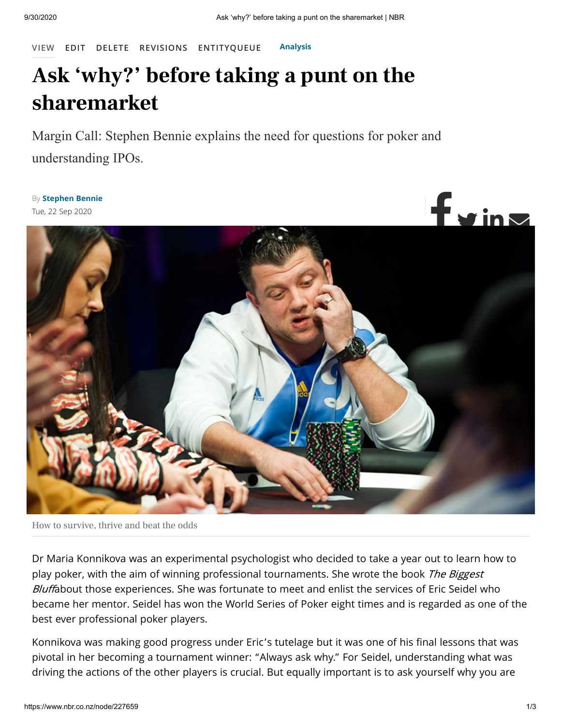**[VIEW](https://www.nbr.co.nz/node/227659) [EDIT](https://www.nbr.co.nz/node/227659/edit) [DELETE](https://www.nbr.co.nz/node/227659/delete) [REVISIONS](https://www.nbr.co.nz/node/227659/revisions) [ENTITYQUEUE](https://www.nbr.co.nz/node/227659/entityqueue) [Analysis](https://www.nbr.co.nz/category/analysis)**

## **Ask 'why?' before taking a punt on the sharemarket**

Margin Call: Stephen Bennie explains the need for questions for poker and understanding IPOs.

By **[Stephen](https://www.nbr.co.nz/node/226699) Bennie** Tue, 22 Sep 2020



How to survive, thrive and beat the odds

Dr Maria Konnikova was an experimental psychologist who decided to take a year out to learn how to play poker, with the aim of winning professional tournaments. She wrote the book The Biggest Bluffabout those experiences. She was fortunate to meet and enlist the services of Eric Seidel who became her mentor. Seidel has won the World Series of Poker eight times and is regarded as one of the best ever professional poker players.

Konnikova was making good progress under Eric's tutelage but it was one of his final lessons that was pivotal in her becoming a tournament winner: "Always ask why." For Seidel, understanding what was driving the actions of the other players is crucial. But equally important is to ask yourself why you are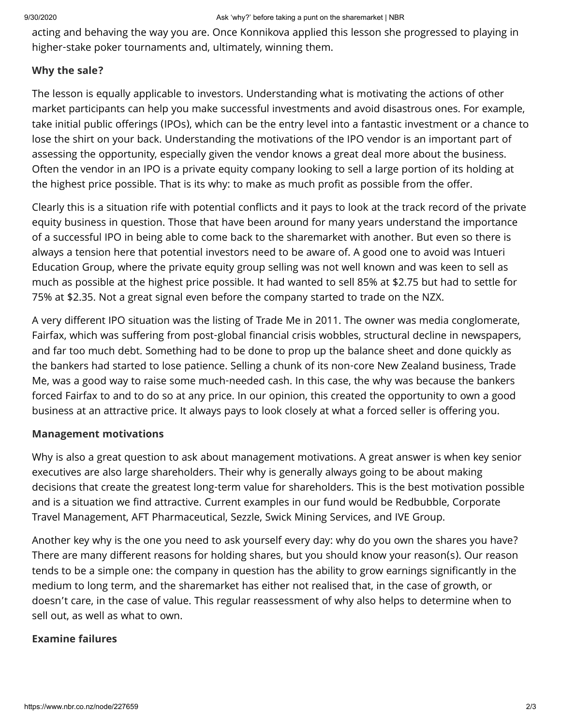acting and behaving the way you are. Once Konnikova applied this lesson she progressed to playing in higher-stake poker tournaments and, ultimately, winning them.

## **Why the sale?**

The lesson is equally applicable to investors. Understanding what is motivating the actions of other market participants can help you make successful investments and avoid disastrous ones. For example, take initial public offerings (IPOs), which can be the entry level into a fantastic investment or a chance to lose the shirt on your back. Understanding the motivations of the IPO vendor is an important part of assessing the opportunity, especially given the vendor knows a great deal more about the business. Often the vendor in an IPO is a private equity company looking to sell a large portion of its holding at the highest price possible. That is its why: to make as much profit as possible from the offer.

Clearly this is a situation rife with potential conflicts and it pays to look at the track record of the private equity business in question. Those that have been around for many years understand the importance of a successful IPO in being able to come back to the sharemarket with another. But even so there is always a tension here that potential investors need to be aware of. A good one to avoid was Intueri Education Group, where the private equity group selling was not well known and was keen to sell as much as possible at the highest price possible. It had wanted to sell 85% at \$2.75 but had to settle for 75% at \$2.35. Not a great signal even before the company started to trade on the NZX.

A very different IPO situation was the listing of Trade Me in 2011. The owner was media conglomerate, Fairfax, which was suffering from post-global financial crisis wobbles, structural decline in newspapers, and far too much debt. Something had to be done to prop up the balance sheet and done quickly as the bankers had started to lose patience. Selling a chunk of its non-core New Zealand business, Trade Me, was a good way to raise some much-needed cash. In this case, the why was because the bankers forced Fairfax to and to do so at any price. In our opinion, this created the opportunity to own a good business at an attractive price. It always pays to look closely at what a forced seller is offering you.

## **Management motivations**

Why is also a great question to ask about management motivations. A great answer is when key senior executives are also large shareholders. Their why is generally always going to be about making decisions that create the greatest long-term value for shareholders. This is the best motivation possible and is a situation we find attractive. Current examples in our fund would be Redbubble, Corporate Travel Management, AFT Pharmaceutical, Sezzle, Swick Mining Services, and IVE Group.

Another key why is the one you need to ask yourself every day: why do you own the shares you have? There are many different reasons for holding shares, but you should know your reason(s). Our reason tends to be a simple one: the company in question has the ability to grow earnings significantly in the medium to long term, and the sharemarket has either not realised that, in the case of growth, or doesn't care, in the case of value. This regular reassessment of why also helps to determine when to sell out, as well as what to own.

## **Examine failures**